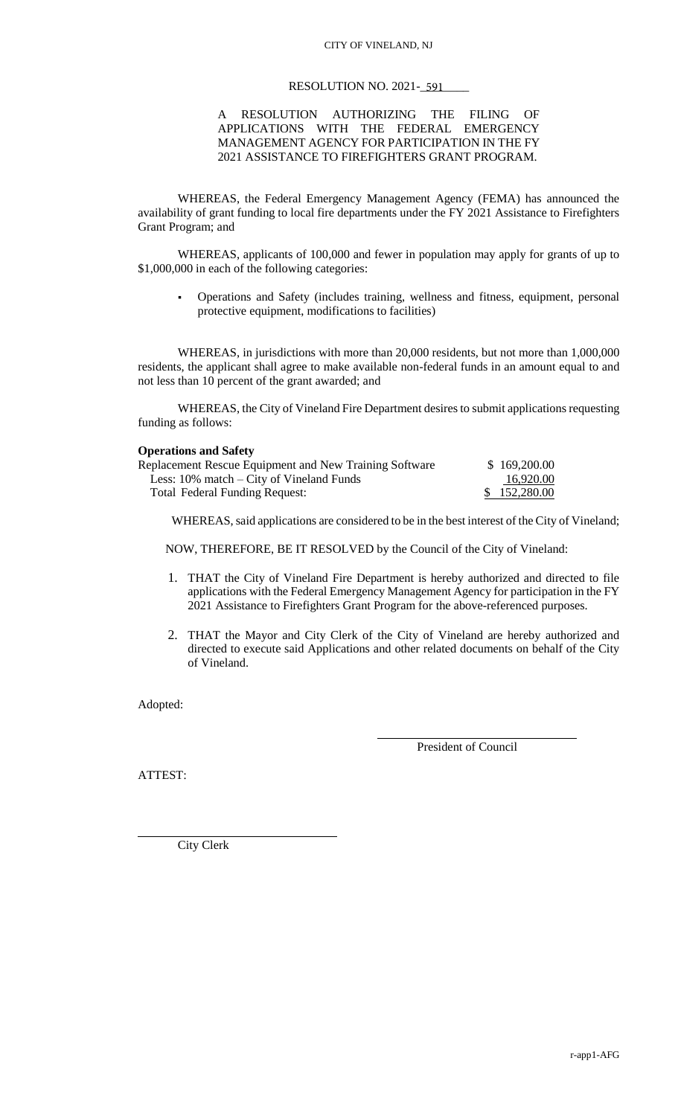## RESOLUTION NO. 2021-<del>591</del>

### A RESOLUTION AUTHORIZING THE FILING OF APPLICATIONS WITH THE FEDERAL EMERGENCY MANAGEMENT AGENCY FOR PARTICIPATION IN THE FY 2021 ASSISTANCE TO FIREFIGHTERS GRANT PROGRAM.

WHEREAS, the Federal Emergency Management Agency (FEMA) has announced the availability of grant funding to local fire departments under the FY 2021 Assistance to Firefighters Grant Program; and

WHEREAS, applicants of 100,000 and fewer in population may apply for grants of up to \$1,000,000 in each of the following categories:

 Operations and Safety (includes training, wellness and fitness, equipment, personal protective equipment, modifications to facilities)

WHEREAS, in jurisdictions with more than 20,000 residents, but not more than 1,000,000 residents, the applicant shall agree to make available non-federal funds in an amount equal to and not less than 10 percent of the grant awarded; and

WHEREAS, the City of Vineland Fire Department desires to submit applications requesting funding as follows:

#### **Operations and Safety**

| Replacement Rescue Equipment and New Training Software | \$169,200.00 |
|--------------------------------------------------------|--------------|
| Less: $10\%$ match – City of Vineland Funds            | 16.920.00    |
| <b>Total Federal Funding Request:</b>                  | \$152,280.00 |

WHEREAS, said applications are considered to be in the best interest of the City of Vineland;

NOW, THEREFORE, BE IT RESOLVED by the Council of the City of Vineland:

- 1. THAT the City of Vineland Fire Department is hereby authorized and directed to file applications with the Federal Emergency Management Agency for participation in the FY 2021 Assistance to Firefighters Grant Program for the above-referenced purposes.
- 2. THAT the Mayor and City Clerk of the City of Vineland are hereby authorized and directed to execute said Applications and other related documents on behalf of the City of Vineland.

Adopted:

President of Council

ATTEST:

City Clerk